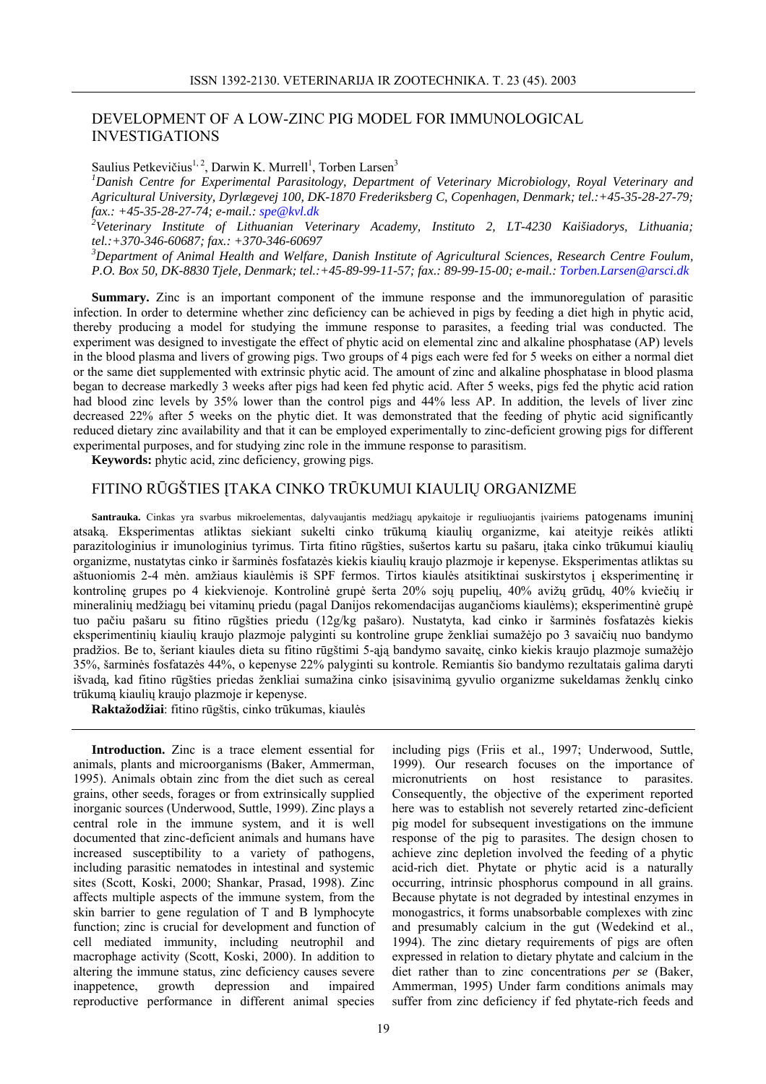## DEVELOPMENT OF A LOW-ZINC PIG MODEL FOR IMMUNOLOGICAL INVESTIGATIONS

Saulius Petkevičius<sup>1, 2</sup>, Darwin K. Murrell<sup>1</sup>, Torben Larsen<sup>3</sup>

*1 Danish Centre for Experimental Parasitology, Department of Veterinary Microbiology, Royal Veterinary and Agricultural University, Dyrlægevej 100, DK-1870 Frederiksberg C, Copenhagen, Denmark; tel.:+45-35-28-27-79; fax.: +45-35-28-27-74; e-mail.: spe@kvl.dk 2*

*Veterinary Institute of Lithuanian Veterinary Academy, Instituto 2, LT-4230 Kaišiadorys, Lithuania; tel.:+370-346-60687; fax.: +370-346-60697* 

*3 Department of Animal Health and Welfare, Danish Institute of Agricultural Sciences, Research Centre Foulum, P.O. Box 50, DK-8830 Tjele, Denmark; tel.:+45-89-99-11-57; fax.: 89-99-15-00; e-mail.: Torben.Larsen@arsci.dk*

**Summary.** Zinc is an important component of the immune response and the immunoregulation of parasitic infection. In order to determine whether zinc deficiency can be achieved in pigs by feeding a diet high in phytic acid, thereby producing a model for studying the immune response to parasites, a feeding trial was conducted. The experiment was designed to investigate the effect of phytic acid on elemental zinc and alkaline phosphatase (AP) levels in the blood plasma and livers of growing pigs. Two groups of 4 pigs each were fed for 5 weeks on either a normal diet or the same diet supplemented with extrinsic phytic acid. The amount of zinc and alkaline phosphatase in blood plasma began to decrease markedly 3 weeks after pigs had keen fed phytic acid. After 5 weeks, pigs fed the phytic acid ration had blood zinc levels by 35% lower than the control pigs and 44% less AP. In addition, the levels of liver zinc decreased 22% after 5 weeks on the phytic diet. It was demonstrated that the feeding of phytic acid significantly reduced dietary zinc availability and that it can be employed experimentally to zinc-deficient growing pigs for different experimental purposes, and for studying zinc role in the immune response to parasitism.

**Keywords:** phytic acid, zinc deficiency, growing pigs.

## FITINO RŪGŠTIES ĮTAKA CINKO TRŪKUMUI KIAULIŲ ORGANIZME

**Santrauka.** Cinkas yra svarbus mikroelementas, dalyvaujantis medžiagų apykaitoje ir reguliuojantis įvairiems patogenams imuninį atsaką. Eksperimentas atliktas siekiant sukelti cinko trūkumą kiaulių organizme, kai ateityje reikės atlikti parazitologinius ir imunologinius tyrimus. Tirta fitino rūgšties, sušertos kartu su pašaru, įtaka cinko trūkumui kiaulių organizme, nustatytas cinko ir šarminės fosfatazės kiekis kiaulių kraujo plazmoje ir kepenyse. Eksperimentas atliktas su aštuoniomis 2-4 mėn. amžiaus kiaulėmis iš SPF fermos. Tirtos kiaulės atsitiktinai suskirstytos į eksperimentinę ir kontrolinę grupes po 4 kiekvienoje. Kontrolinė grupė šerta 20% sojų pupelių, 40% avižų grūdų, 40% kviečių ir mineralinių medžiagų bei vitaminų priedu (pagal Danijos rekomendacijas augančioms kiaulėms); eksperimentinė grupė tuo pačiu pašaru su fitino rūgšties priedu (12g/kg pašaro). Nustatyta, kad cinko ir šarminės fosfatazės kiekis eksperimentinių kiaulių kraujo plazmoje palyginti su kontroline grupe ženkliai sumažėjo po 3 savaičių nuo bandymo pradžios. Be to, šeriant kiaules dieta su fitino rūgštimi 5-ąją bandymo savaitę, cinko kiekis kraujo plazmoje sumažėjo 35%, šarminės fosfatazės 44%, o kepenyse 22% palyginti su kontrole. Remiantis šio bandymo rezultatais galima daryti išvadą, kad fitino rūgšties priedas ženkliai sumažina cinko įsisavinimą gyvulio organizme sukeldamas ženklų cinko trūkumą kiaulių kraujo plazmoje ir kepenyse.

**Raktažodžiai**: fitino rūgštis, cinko trūkumas, kiaulės

**Introduction.** Zinc is a trace element essential for animals, plants and microorganisms (Baker, Ammerman, 1995). Animals obtain zinc from the diet such as cereal grains, other seeds, forages or from extrinsically supplied inorganic sources (Underwood, Suttle, 1999). Zinc plays a central role in the immune system, and it is well documented that zinc-deficient animals and humans have increased susceptibility to a variety of pathogens, including parasitic nematodes in intestinal and systemic sites (Scott, Koski, 2000; Shankar, Prasad, 1998). Zinc affects multiple aspects of the immune system, from the skin barrier to gene regulation of T and B lymphocyte function; zinc is crucial for development and function of cell mediated immunity, including neutrophil and macrophage activity (Scott, Koski, 2000). In addition to altering the immune status, zinc deficiency causes severe inappetence, growth depression and impaired reproductive performance in different animal species

including pigs (Friis et al., 1997; Underwood, Suttle, 1999). Our research focuses on the importance of micronutrients on host resistance to parasites. Consequently, the objective of the experiment reported here was to establish not severely retarted zinc-deficient pig model for subsequent investigations on the immune response of the pig to parasites. The design chosen to achieve zinc depletion involved the feeding of a phytic acid-rich diet. Phytate or phytic acid is a naturally occurring, intrinsic phosphorus compound in all grains. Because phytate is not degraded by intestinal enzymes in monogastrics, it forms unabsorbable complexes with zinc and presumably calcium in the gut (Wedekind et al., 1994). The zinc dietary requirements of pigs are often expressed in relation to dietary phytate and calcium in the diet rather than to zinc concentrations *per se* (Baker, Ammerman, 1995) Under farm conditions animals may suffer from zinc deficiency if fed phytate-rich feeds and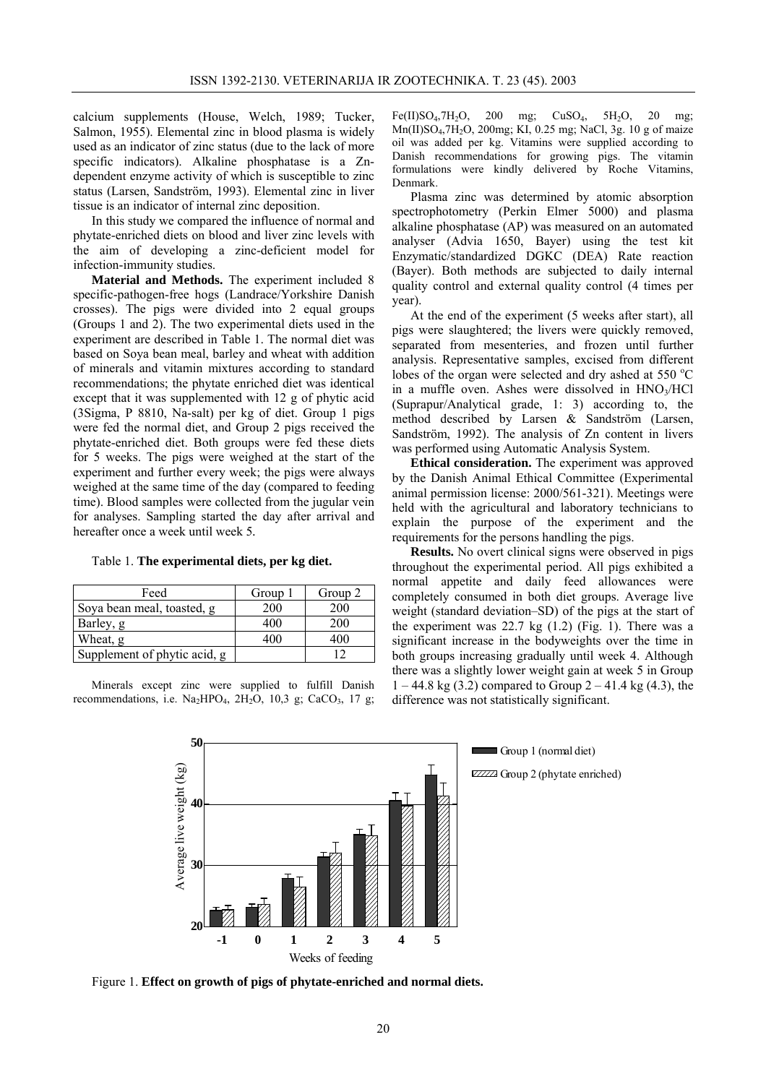calcium supplements (House, Welch, 1989; Tucker, Salmon, 1955). Elemental zinc in blood plasma is widely used as an indicator of zinc status (due to the lack of more specific indicators). Alkaline phosphatase is a Zndependent enzyme activity of which is susceptible to zinc status (Larsen, Sandström, 1993). Elemental zinc in liver tissue is an indicator of internal zinc deposition.

In this study we compared the influence of normal and phytate-enriched diets on blood and liver zinc levels with the aim of developing a zinc-deficient model for infection-immunity studies.

**Material and Methods.** The experiment included 8 specific-pathogen-free hogs (Landrace/Yorkshire Danish crosses). The pigs were divided into 2 equal groups (Groups 1 and 2). The two experimental diets used in the experiment are described in Table 1. The normal diet was based on Soya bean meal, barley and wheat with addition of minerals and vitamin mixtures according to standard recommendations; the phytate enriched diet was identical except that it was supplemented with 12 g of phytic acid (3Sigma, P 8810, Na-salt) per kg of diet. Group 1 pigs were fed the normal diet, and Group 2 pigs received the phytate-enriched diet. Both groups were fed these diets for 5 weeks. The pigs were weighed at the start of the experiment and further every week; the pigs were always weighed at the same time of the day (compared to feeding time). Blood samples were collected from the jugular vein for analyses. Sampling started the day after arrival and hereafter once a week until week 5*.* 

Table 1. **The experimental diets, per kg diet.**

| Feed                         | Group 1 | Group 2 |
|------------------------------|---------|---------|
| Soya bean meal, toasted, g   | 200     | 200     |
| Barley, g                    | 400     | 200     |
| Wheat, g                     | 400     | 400     |
| Supplement of phytic acid, g |         |         |

Minerals except zinc were supplied to fulfill Danish recommendations, i.e.  $\text{Na}_2\text{HPO}_4$ ,  $2\text{H}_2\text{O}$ ,  $10,3$  g; CaCO<sub>3</sub>, 17 g; Fe(II)SO<sub>4</sub>,7H<sub>2</sub>O, 200 mg; CuSO<sub>4</sub>, 5H<sub>2</sub>O, 20 mg; Mn(II)SO4,7H2O, 200mg; KI, 0.25 mg; NaCl, 3g. 10 g of maize oil was added per kg. Vitamins were supplied according to Danish recommendations for growing pigs. The vitamin formulations were kindly delivered by Roche Vitamins, Denmark.

Plasma zinc was determined by atomic absorption spectrophotometry (Perkin Elmer 5000) and plasma alkaline phosphatase (AP) was measured on an automated analyser (Advia 1650, Bayer) using the test kit Enzymatic/standardized DGKC (DEA) Rate reaction (Bayer). Both methods are subjected to daily internal quality control and external quality control (4 times per year).

At the end of the experiment (5 weeks after start), all pigs were slaughtered; the livers were quickly removed, separated from mesenteries, and frozen until further analysis. Representative samples, excised from different lobes of the organ were selected and dry ashed at 550 °C in a muffle oven. Ashes were dissolved in  $HNO<sub>3</sub>/HCl$ (Suprapur/Analytical grade, 1: 3) according to, the method described by Larsen & Sandström (Larsen, Sandström, 1992). The analysis of Zn content in livers was performed using Automatic Analysis System.

**Ethical consideration.** The experiment was approved by the Danish Animal Ethical Committee (Experimental animal permission license: 2000/561-321). Meetings were held with the agricultural and laboratory technicians to explain the purpose of the experiment and the requirements for the persons handling the pigs.

**Results.** No overt clinical signs were observed in pigs throughout the experimental period. All pigs exhibited a normal appetite and daily feed allowances were completely consumed in both diet groups. Average live weight (standard deviation–SD) of the pigs at the start of the experiment was  $22.7$  kg  $(1.2)$  (Fig. 1). There was a significant increase in the bodyweights over the time in both groups increasing gradually until week 4. Although there was a slightly lower weight gain at week 5 in Group  $1 - 44.8$  kg (3.2) compared to Group  $2 - 41.4$  kg (4.3), the difference was not statistically significant.



Figure 1. **Effect on growth of pigs of phytate-enriched and normal diets.**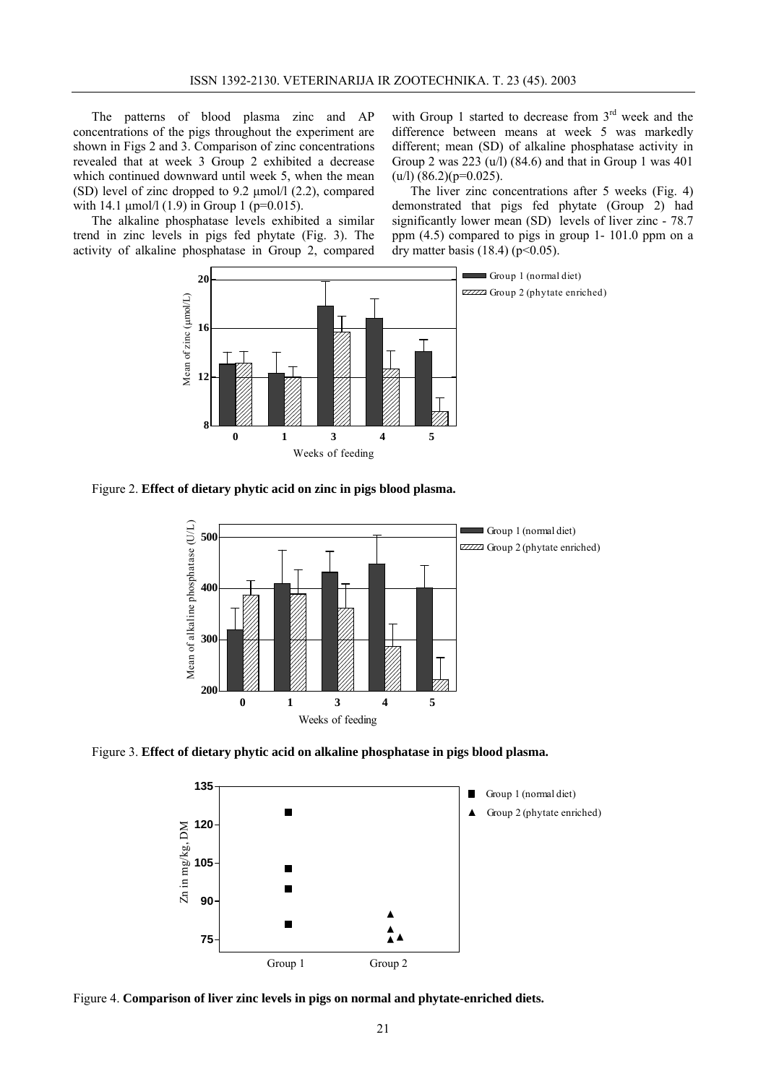The patterns of blood plasma zinc and AP concentrations of the pigs throughout the experiment are shown in Figs 2 and 3. Comparison of zinc concentrations revealed that at week 3 Group 2 exhibited a decrease which continued downward until week 5, when the mean (SD) level of zinc dropped to 9.2 µmol/l (2.2), compared with 14.1  $\mu$ mol/l (1.9) in Group 1 (p=0.015).

The alkaline phosphatase levels exhibited a similar trend in zinc levels in pigs fed phytate (Fig. 3). The activity of alkaline phosphatase in Group 2, compared with Group 1 started to decrease from 3<sup>rd</sup> week and the difference between means at week 5 was markedly different; mean (SD) of alkaline phosphatase activity in Group 2 was 223 (u/l) (84.6) and that in Group 1 was 401  $(u/l)$  (86.2)(p=0.025).

The liver zinc concentrations after 5 weeks (Fig. 4) demonstrated that pigs fed phytate (Group 2) had significantly lower mean (SD) levels of liver zinc - 78.7 ppm (4.5) compared to pigs in group 1- 101.0 ppm on a dry matter basis (18.4) ( $p$ <0.05).



Figure 2. **Effect of dietary phytic acid on zinc in pigs blood plasma.** 



Figure 3. **Effect of dietary phytic acid on alkaline phosphatase in pigs blood plasma.** 



Figure 4. **Comparison of liver zinc levels in pigs on normal and phytate-enriched diets.**